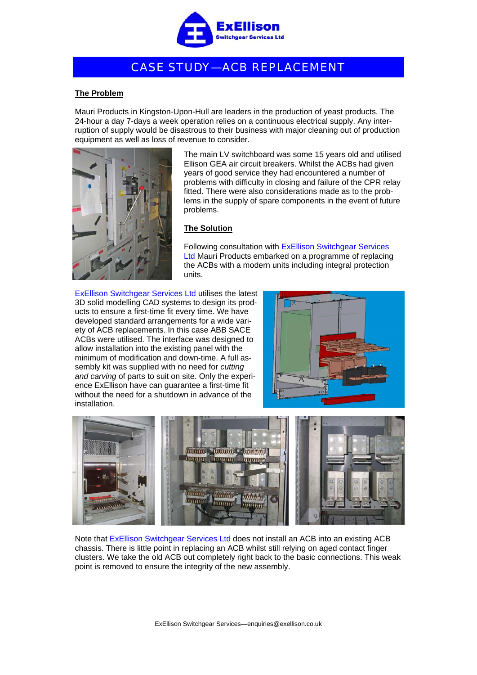

## CASE STUDY—ACB REPLACEMENT

## **The Problem**

Mauri Products in Kingston-Upon-Hull are leaders in the production of yeast products. The 24-hour a day 7-days a week operation relies on a continuous electrical supply. Any interruption of supply would be disastrous to their business with major cleaning out of production equipment as well as loss of revenue to consider.



The main LV switchboard was some 15 years old and utilised Ellison GEA air circuit breakers. Whilst the ACBs had given years of good service they had encountered a number of problems with difficulty in closing and failure of the CPR relay fitted. There were also considerations made as to the problems in the supply of spare components in the event of future problems.

## **The Solution**

Following consultation with ExEllison Switchgear Services Ltd Mauri Products embarked on a programme of replacing the ACBs with a modern units including integral protection units.

ExEllison Switchgear Services Ltd utilises the latest 3D solid modelling CAD systems to design its products to ensure a first-time fit every time. We have developed standard arrangements for a wide variety of ACB replacements. In this case ABB SACE ACBs were utilised. The interface was designed to allow installation into the existing panel with the minimum of modification and down-time. A full assembly kit was supplied with no need for *cutting and carving* of parts to suit on site. Only the experience ExEllison have can guarantee a first-time fit without the need for a shutdown in advance of the installation.





Note that ExEllison Switchgear Services Ltd does not install an ACB into an existing ACB chassis. There is little point in replacing an ACB whilst still relying on aged contact finger clusters. We take the old ACB out completely right back to the basic connections. This weak point is removed to ensure the integrity of the new assembly.